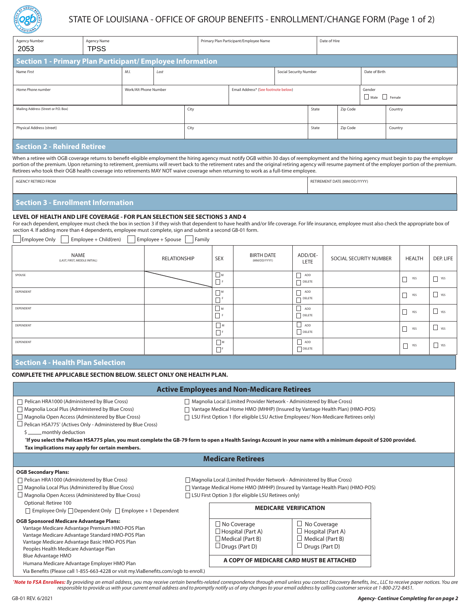

# STATE OF LOUISIANA - OFFICE OF GROUP BENEFITS - ENROLLMENT/CHANGE FORM (Page 1 of 2)

| Agency Number<br>2053                                      | Agency Name<br><b>TPSS</b> |      |                       |  | Primary Plan Participant/Employee Name |                                     | Date of Hire  |                       |         |  |
|------------------------------------------------------------|----------------------------|------|-----------------------|--|----------------------------------------|-------------------------------------|---------------|-----------------------|---------|--|
| Section 1 - Primary Plan Participant/ Employee Information |                            |      |                       |  |                                        |                                     |               |                       |         |  |
| Name First                                                 |                            | M.I. | Last                  |  | <b>Social Security Number</b>          |                                     | Date of Birth |                       |         |  |
| Home Phone number                                          |                            |      | Work/Alt Phone Number |  |                                        | Email Address* (See footnote below) |               | Gender<br>Male Female |         |  |
| Mailing Address (Street or P.O. Box)                       |                            |      | City                  |  |                                        | State                               | Zip Code      |                       | Country |  |
| Physical Address (street)                                  |                            |      | City                  |  |                                        | State                               | Zip Code      |                       | Country |  |
| <b>Coction 2. Pobirod Potizon</b>                          |                            |      |                       |  |                                        |                                     |               |                       |         |  |

## **Section 2 - Rehired Retiree**

When a retiree with OGB coverage returns to benefit-eligible employment the hiring agency must notify OGB within 30 days of reemployment and the hiring agency must begin to pay the employer portion of the premium. Upon returning to retirement, premiums will revert back to the retirement rates and the original retiring agency will resume payment of the employer portion of the premium. Retirees who took their OGB health coverage into retirements MAY NOT waive coverage when returning to work as a full-time employee.

| Y RETIRED FROM<br>AGENC<br>the contract of the contract of the contract of the contract of the contract of the contract of the contract of | RETIREMENT DATE (MM/DD/YYYY)<br> |
|--------------------------------------------------------------------------------------------------------------------------------------------|----------------------------------|
|                                                                                                                                            |                                  |

## **Section 3 - Enrollment Information**

#### **LEVEL OF HEALTH AND LIFE COVERAGE - FOR PLAN SELECTION SEE SECTIONS 3 AND 4**

For each dependent, employee must check the box in section 3 if they wish that dependent to have health and/or life coverage. For life insurance, employee must also check the appropriate box of section 4. If adding more than 4 dependents, employee must complete, sign and submit a second GB-01 form.

Employee Only Employee + Child(ren) Employee + Spouse Family

| NAME<br>(LAST, FIRST, MIDDLE INITIAL) | RELATIONSHIP | <b>SEX</b>           | <b>BIRTH DATE</b><br>(MM/DD/YYYY) | ADD/DE-<br>LETE                | SOCIAL SECURITY NUMBER | <b>HEALTH</b> | DEP. LIFE         |
|---------------------------------------|--------------|----------------------|-----------------------------------|--------------------------------|------------------------|---------------|-------------------|
| SPOUSE                                |              | $\square$ M          |                                   | П<br>ADD<br>DELETE             |                        | YES           | YES               |
| DEPENDENT                             |              | Πм<br>$\Box$         |                                   | ADD<br>$\Box$ DELETE           |                        | YES           | YES               |
| DEPENDENT                             |              | $\Box$ M<br>┍<br>└   |                                   | ப<br>ADD<br>DELETE             |                        | $\Box$<br>YES | $\sqrt{1 + 2\pi}$ |
| DEPENDENT                             |              | $\Box$ M<br>$\neg F$ |                                   | $\Box$<br>ADD<br>$\Box$ DELETE |                        | YES           | $\Box$ YES        |
| DEPENDENT                             |              | $\Box$ M<br>$\Box F$ |                                   | ADD<br>DELETE                  |                        | YES           | $\Box$ YES        |

### **Section 4 - Health Plan Selection**

### **COMPLETE THE APPLICABLE SECTION BELOW. SELECT ONLY ONE HEALTH PLAN.**

|                                                                                                                                                                                                                                                                                                                           |                                                                                                                                                                                                                                                | <b>Active Employees and Non-Medicare Retirees</b>                                                  |                                                                                                    |  |  |  |
|---------------------------------------------------------------------------------------------------------------------------------------------------------------------------------------------------------------------------------------------------------------------------------------------------------------------------|------------------------------------------------------------------------------------------------------------------------------------------------------------------------------------------------------------------------------------------------|----------------------------------------------------------------------------------------------------|----------------------------------------------------------------------------------------------------|--|--|--|
| Pelican HRA1000 (Administered by Blue Cross)<br>Magnolia Local Plus (Administered by Blue Cross)<br>$\Box$ Magnolia Open Access (Administered by Blue Cross)                                                                                                                                                              | □ Magnolia Local (Limited Provider Network - Administered by Blue Cross)<br>Vantage Medical Home HMO (MHHP) (Insured by Vantage Health Plan) (HMO-POS)<br>□ LSU First Option 1 (for eligible LSU Active Employees/ Non-Medicare Retirees only) |                                                                                                    |                                                                                                    |  |  |  |
| $\Box$ Pelican HSA775 <sup>*</sup> (Actives Only - Administered by Blue Cross)<br>monthly deduction<br>1f you select the Pelican HSA775 plan, you must complete the GB-79 form to open a Health Savings Account in your name with a minimum deposit of \$200 provided.<br>Tax implications may apply for certain members. |                                                                                                                                                                                                                                                |                                                                                                    |                                                                                                    |  |  |  |
|                                                                                                                                                                                                                                                                                                                           |                                                                                                                                                                                                                                                | <b>Medicare Retirees</b>                                                                           |                                                                                                    |  |  |  |
| <b>OGB Secondary Plans:</b><br>Pelican HRA1000 (Administered by Blue Cross)<br>Magnolia Local Plus (Administered by Blue Cross)<br>$\Box$ Magnolia Open Access (Administered by Blue Cross)                                                                                                                               | □ Magnolia Local (Limited Provider Network - Administered by Blue Cross)<br>  Vantage Medical Home HMO (MHHP) (Insured by Vantage Health Plan) (HMO-POS)<br>□ LSU First Option 3 (for eligible LSU Retirees only)                              |                                                                                                    |                                                                                                    |  |  |  |
| Optional: Retiree 100<br>$\Box$ Employee Only $\Box$ Dependent Only $\Box$ Employee + 1 Dependent                                                                                                                                                                                                                         |                                                                                                                                                                                                                                                | <b>MEDICARE VERIFICATION</b>                                                                       |                                                                                                    |  |  |  |
| <b>OGB Sponsored Medicare Advantage Plans:</b><br>Vantage Medicare Advantage Premium HMO-POS Plan<br>Vantage Medicare Advantage Standard HMO-POS Plan<br>Vantage Medicare Advantage Basic HMO-POS Plan<br>Peoples Health Medicare Advantage Plan                                                                          |                                                                                                                                                                                                                                                | $\Box$ No Coverage<br>$\Box$ Hospital (Part A)<br>$\Box$ Medical (Part B)<br>$\Box$ Drugs (Part D) | $\Box$ No Coverage<br>$\Box$ Hospital (Part A)<br>$\Box$ Medical (Part B)<br>$\Box$ Drugs (Part D) |  |  |  |
| <b>Blue Advantage HMO</b><br>Humana Medicare Advantage Employer HMO Plan<br>Via Benefits (Please call 1-855-663-4228 or visit my. Via Benefits.com/ogb to enroll.)                                                                                                                                                        |                                                                                                                                                                                                                                                | A COPY OF MEDICARE CARD MUST BE ATTACHED                                                           |                                                                                                    |  |  |  |

"**Note to FSA Enrollees:** By providing an email address, you may receive certain benefits-related correspondence through email unless you contact Discovery Benefits, Inc., LLC to receive paper notices. You are<br>responsible